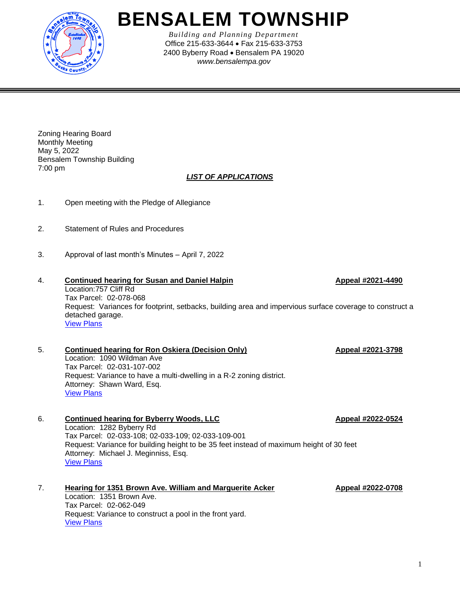

## **BENSALEM TOWNSHIP**

*Building and Planning Department* Office 215-633-3644 • Fax 215-633-3753 2400 Byberry Road • Bensalem PA 19020 *www.bensalempa.gov*

Zoning Hearing Board Monthly Meeting May 5, 2022 Bensalem Township Building 7:00 pm

## *LIST OF APPLICATIONS*

- 1. Open meeting with the Pledge of Allegiance
- 2. Statement of Rules and Procedures
- 3. Approval of last month's Minutes April 7, 2022
- 4. **Continued hearing for Susan and Daniel Halpin Appeal #2021-4490** Location:757 Cliff Rd Tax Parcel: 02-078-068 Request: Variances for footprint, setbacks, building area and impervious surface coverage to construct a detached garage. [View Plans](https://www.bensalempa.gov/uploads/2/4/9/3/24936441/cliff_rd_757_-_zhb_appeal.pdf)
- 5. **Continued hearing for Ron Oskiera (Decision Only) Appeal #2021-3798** Location: 1090 Wildman Ave Tax Parcel: 02-031-107-002 Request: Variance to have a multi-dwelling in a R-2 zoning district. Attorney: Shawn Ward, Esq. [View Plans](https://www.bensalempa.gov/uploads/2/4/9/3/24936441/wildman_ave_1090_-_zhb_appeal.pdf)
- 6. **Continued hearing for Byberry Woods, LLC Appeal #2022-0524** Location: 1282 Byberry Rd Tax Parcel: 02-033-108; 02-033-109; 02-033-109-001 Request: Variance for building height to be 35 feet instead of maximum height of 30 feet Attorney: Michael J. Meginniss, Esq. [View Plans](https://www.bensalempa.gov/uploads/2/4/9/3/24936441/byberry_rd_1282__extension_request_.pdf)
- 7. **Hearing for 1351 Brown Ave. William and Marguerite Acker Appeal #2022-0708** Location: 1351 Brown Ave. Tax Parcel: 02-062-049 Request: Variance to construct a pool in the front yard. [View Plans](https://www.bensalempa.gov/uploads/2/4/9/3/24936441/brown_ave_1351_zhb_2022-0708.pdf)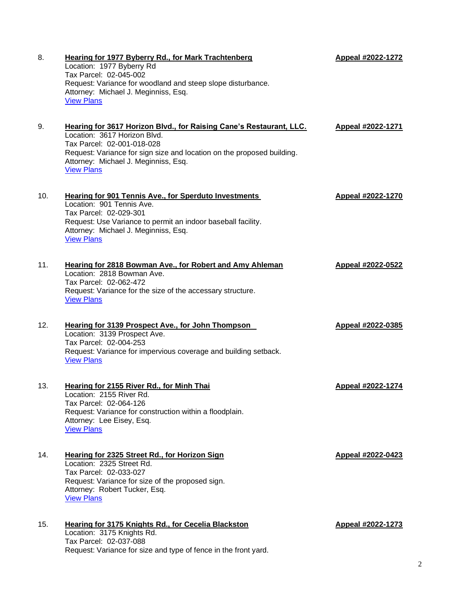| 8.  | <b>Hearing for 1977 Byberry Rd., for Mark Trachtenberg</b><br>Location: 1977 Byberry Rd<br>Tax Parcel: 02-045-002<br>Request: Variance for woodland and steep slope disturbance.<br>Attorney: Michael J. Meginniss, Esq.<br><b>View Plans</b>                            | Appeal #2022-1272 |
|-----|--------------------------------------------------------------------------------------------------------------------------------------------------------------------------------------------------------------------------------------------------------------------------|-------------------|
| 9.  | Hearing for 3617 Horizon Blvd., for Raising Cane's Restaurant, LLC.<br>Location: 3617 Horizon Blvd.<br>Tax Parcel: 02-001-018-028<br>Request: Variance for sign size and location on the proposed building.<br>Attorney: Michael J. Meginniss, Esq.<br><b>View Plans</b> | Appeal #2022-1271 |
| 10. | <b>Hearing for 901 Tennis Ave., for Sperduto Investments</b><br>Location: 901 Tennis Ave.<br>Tax Parcel: 02-029-301<br>Request: Use Variance to permit an indoor baseball facility.<br>Attorney: Michael J. Meginniss, Esq.<br><b>View Plans</b>                         | Appeal #2022-1270 |
| 11. | <b>Hearing for 2818 Bowman Ave., for Robert and Amy Ahleman</b><br>Location: 2818 Bowman Ave.<br>Tax Parcel: 02-062-472<br>Request: Variance for the size of the accessary structure.<br><b>View Plans</b>                                                               | Appeal #2022-0522 |
| 12. | <b>Hearing for 3139 Prospect Ave., for John Thompson</b><br>Location: 3139 Prospect Ave.<br>Tax Parcel: 02-004-253<br>Request: Variance for impervious coverage and building setback.<br><b>View Plans</b>                                                               | Appeal #2022-0385 |
| 13. | Hearing for 2155 River Rd., for Minh Thai<br>Location: 2155 River Rd.<br>Tax Parcel: 02-064-126<br>Request: Variance for construction within a floodplain.<br>Attorney: Lee Eisey, Esq.<br><b>View Plans</b>                                                             | Appeal #2022-1274 |
| 14. | Hearing for 2325 Street Rd., for Horizon Sign<br>Location: 2325 Street Rd.<br>Tax Parcel: 02-033-027<br>Request: Variance for size of the proposed sign.<br>Attorney: Robert Tucker, Esq.<br><b>View Plans</b>                                                           | Appeal #2022-0423 |
| 15. | Hearing for 3175 Knights Rd., for Cecelia Blackston<br>Location: 3175 Knights Rd.<br>Tax Parcel: 02-037-088<br>Request: Variance for size and type of fence in the front yard.                                                                                           | Appeal #2022-1273 |